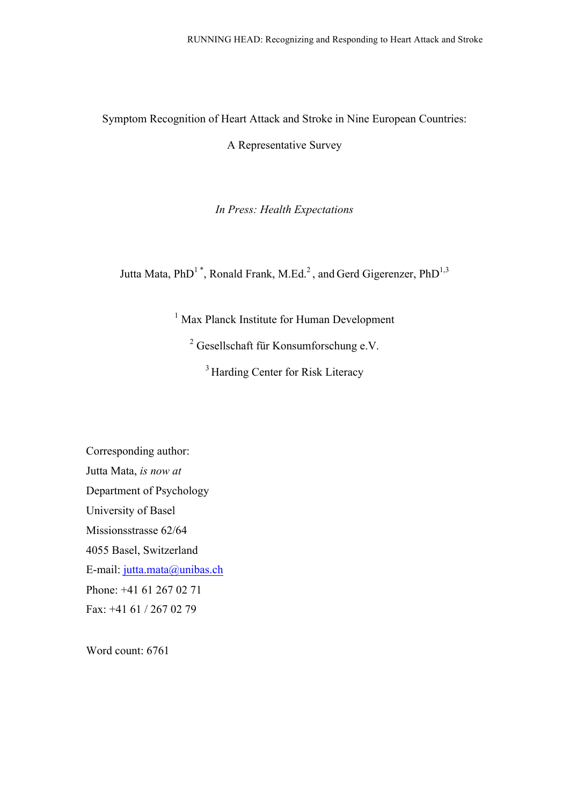Symptom Recognition of Heart Attack and Stroke in Nine European Countries:

A Representative Survey

*In Press: Health Expectations*

Jutta Mata,  $PhD^{1*}$ , Ronald Frank, M.Ed.<sup>2</sup>, and Gerd Gigerenzer,  $PhD^{1,3}$ 

<sup>1</sup> Max Planck Institute for Human Development

<sup>2</sup> Gesellschaft für Konsumforschung e.V.

<sup>3</sup> Harding Center for Risk Literacy

Corresponding author: Jutta Mata, *is now at* Department of Psychology University of Basel Missionsstrasse 62/64 4055 Basel, Switzerland E-mail: jutta.mata@unibas.ch Phone: +41 61 267 02 71 Fax: +41 61 / 267 02 79

Word count: 6761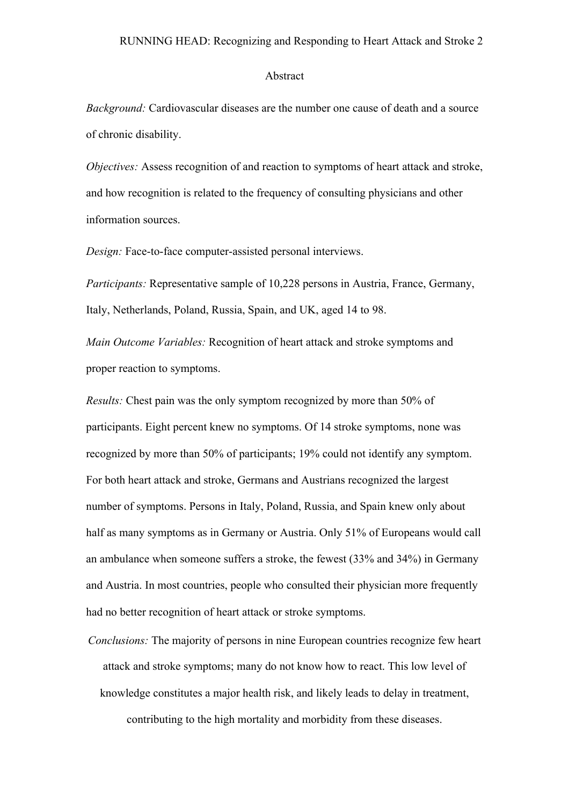#### Abstract

*Background:* Cardiovascular diseases are the number one cause of death and a source of chronic disability.

*Objectives:* Assess recognition of and reaction to symptoms of heart attack and stroke, and how recognition is related to the frequency of consulting physicians and other information sources.

*Design:* Face-to-face computer-assisted personal interviews.

*Participants:* Representative sample of 10,228 persons in Austria, France, Germany, Italy, Netherlands, Poland, Russia, Spain, and UK, aged 14 to 98.

*Main Outcome Variables:* Recognition of heart attack and stroke symptoms and proper reaction to symptoms.

*Results:* Chest pain was the only symptom recognized by more than 50% of participants. Eight percent knew no symptoms. Of 14 stroke symptoms, none was recognized by more than 50% of participants; 19% could not identify any symptom. For both heart attack and stroke, Germans and Austrians recognized the largest number of symptoms. Persons in Italy, Poland, Russia, and Spain knew only about half as many symptoms as in Germany or Austria. Only 51% of Europeans would call an ambulance when someone suffers a stroke, the fewest (33% and 34%) in Germany and Austria. In most countries, people who consulted their physician more frequently had no better recognition of heart attack or stroke symptoms.

*Conclusions:* The majority of persons in nine European countries recognize few heart attack and stroke symptoms; many do not know how to react. This low level of knowledge constitutes a major health risk, and likely leads to delay in treatment, contributing to the high mortality and morbidity from these diseases.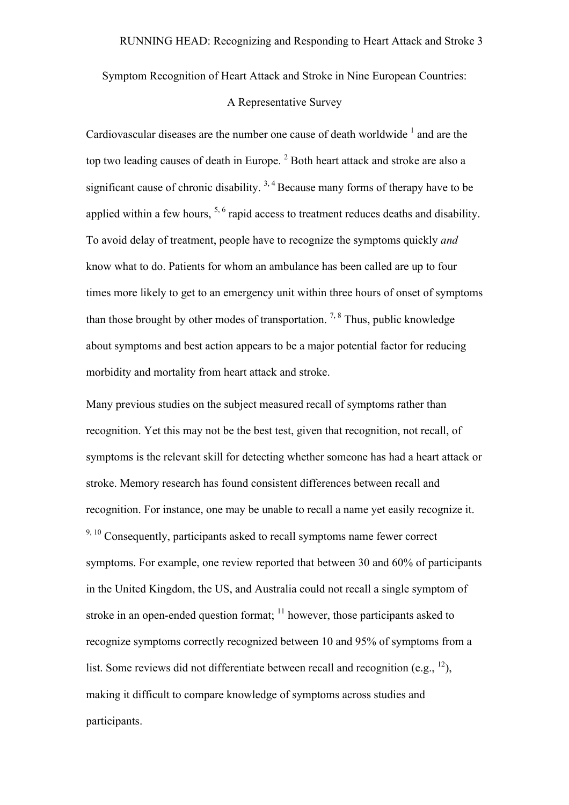Symptom Recognition of Heart Attack and Stroke in Nine European Countries:

## A Representative Survey

Cardiovascular diseases are the number one cause of death worldwide  $<sup>1</sup>$  and are the</sup> top two leading causes of death in Europe.<sup>2</sup> Both heart attack and stroke are also a significant cause of chronic disability.  $3, 4$  Because many forms of therapy have to be applied within a few hours,  $5, 6$  rapid access to treatment reduces deaths and disability. To avoid delay of treatment, people have to recognize the symptoms quickly *and* know what to do. Patients for whom an ambulance has been called are up to four times more likely to get to an emergency unit within three hours of onset of symptoms than those brought by other modes of transportation.<sup>7, 8</sup> Thus, public knowledge about symptoms and best action appears to be a major potential factor for reducing morbidity and mortality from heart attack and stroke.

Many previous studies on the subject measured recall of symptoms rather than recognition. Yet this may not be the best test, given that recognition, not recall, of symptoms is the relevant skill for detecting whether someone has had a heart attack or stroke. Memory research has found consistent differences between recall and recognition. For instance, one may be unable to recall a name yet easily recognize it.  $9,10$  Consequently, participants asked to recall symptoms name fewer correct symptoms. For example, one review reported that between 30 and 60% of participants in the United Kingdom, the US, and Australia could not recall a single symptom of stroke in an open-ended question format;  $\frac{11}{11}$  however, those participants asked to recognize symptoms correctly recognized between 10 and 95% of symptoms from a list. Some reviews did not differentiate between recall and recognition (e.g.,  $^{12}$ ), making it difficult to compare knowledge of symptoms across studies and participants.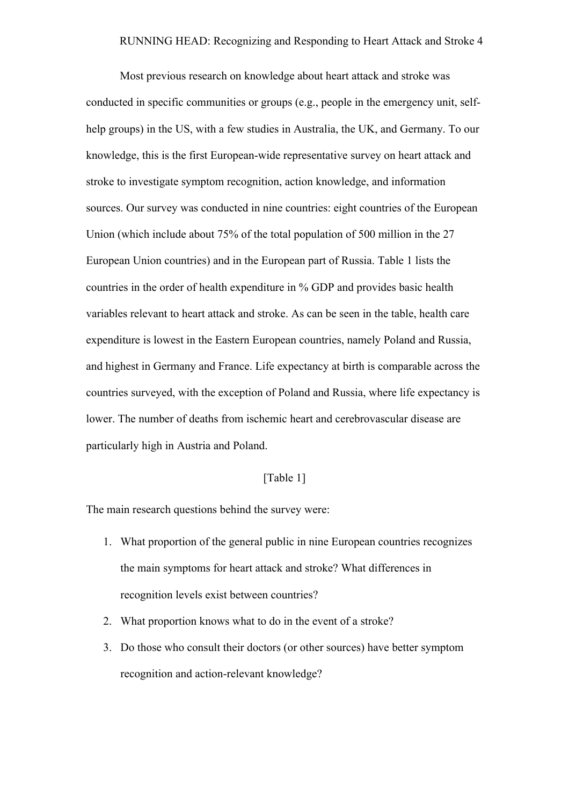## RUNNING HEAD: Recognizing and Responding to Heart Attack and Stroke 4

Most previous research on knowledge about heart attack and stroke was conducted in specific communities or groups (e.g., people in the emergency unit, selfhelp groups) in the US, with a few studies in Australia, the UK, and Germany. To our knowledge, this is the first European-wide representative survey on heart attack and stroke to investigate symptom recognition, action knowledge, and information sources. Our survey was conducted in nine countries: eight countries of the European Union (which include about 75% of the total population of 500 million in the 27 European Union countries) and in the European part of Russia. Table 1 lists the countries in the order of health expenditure in % GDP and provides basic health variables relevant to heart attack and stroke. As can be seen in the table, health care expenditure is lowest in the Eastern European countries, namely Poland and Russia, and highest in Germany and France. Life expectancy at birth is comparable across the countries surveyed, with the exception of Poland and Russia, where life expectancy is lower. The number of deaths from ischemic heart and cerebrovascular disease are particularly high in Austria and Poland.

# [Table 1]

The main research questions behind the survey were:

- 1. What proportion of the general public in nine European countries recognizes the main symptoms for heart attack and stroke? What differences in recognition levels exist between countries?
- 2. What proportion knows what to do in the event of a stroke?
- 3. Do those who consult their doctors (or other sources) have better symptom recognition and action-relevant knowledge?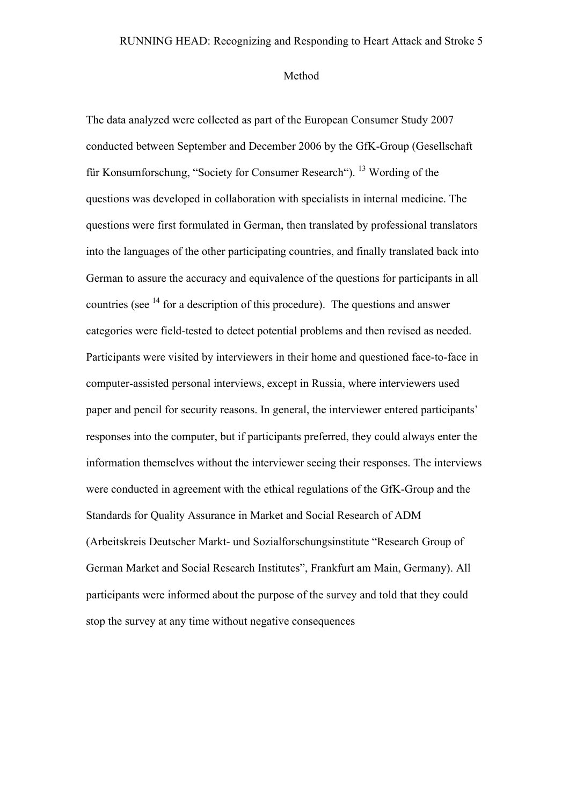#### Method

The data analyzed were collected as part of the European Consumer Study 2007 conducted between September and December 2006 by the GfK-Group (Gesellschaft für Konsumforschung, "Society for Consumer Research"). <sup>13</sup> Wording of the questions was developed in collaboration with specialists in internal medicine. The questions were first formulated in German, then translated by professional translators into the languages of the other participating countries, and finally translated back into German to assure the accuracy and equivalence of the questions for participants in all countries (see  $14$  for a description of this procedure). The questions and answer categories were field-tested to detect potential problems and then revised as needed. Participants were visited by interviewers in their home and questioned face-to-face in computer-assisted personal interviews, except in Russia, where interviewers used paper and pencil for security reasons. In general, the interviewer entered participants' responses into the computer, but if participants preferred, they could always enter the information themselves without the interviewer seeing their responses. The interviews were conducted in agreement with the ethical regulations of the GfK-Group and the Standards for Quality Assurance in Market and Social Research of ADM (Arbeitskreis Deutscher Markt- und Sozialforschungsinstitute "Research Group of German Market and Social Research Institutes", Frankfurt am Main, Germany). All participants were informed about the purpose of the survey and told that they could stop the survey at any time without negative consequences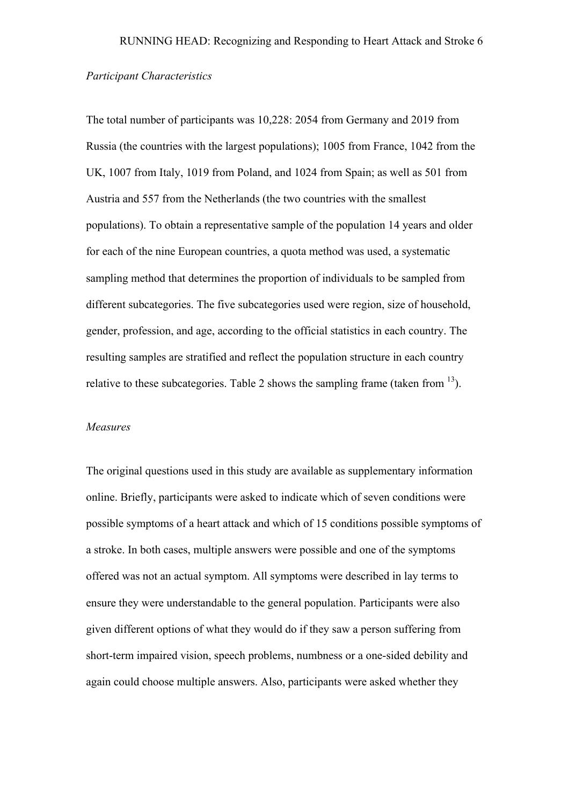### *Participant Characteristics*

The total number of participants was 10,228: 2054 from Germany and 2019 from Russia (the countries with the largest populations); 1005 from France, 1042 from the UK, 1007 from Italy, 1019 from Poland, and 1024 from Spain; as well as 501 from Austria and 557 from the Netherlands (the two countries with the smallest populations). To obtain a representative sample of the population 14 years and older for each of the nine European countries, a quota method was used, a systematic sampling method that determines the proportion of individuals to be sampled from different subcategories. The five subcategories used were region, size of household, gender, profession, and age, according to the official statistics in each country. The resulting samples are stratified and reflect the population structure in each country relative to these subcategories. Table 2 shows the sampling frame (taken from  $^{13}$ ).

#### *Measures*

The original questions used in this study are available as supplementary information online. Briefly, participants were asked to indicate which of seven conditions were possible symptoms of a heart attack and which of 15 conditions possible symptoms of a stroke. In both cases, multiple answers were possible and one of the symptoms offered was not an actual symptom. All symptoms were described in lay terms to ensure they were understandable to the general population. Participants were also given different options of what they would do if they saw a person suffering from short-term impaired vision, speech problems, numbness or a one-sided debility and again could choose multiple answers. Also, participants were asked whether they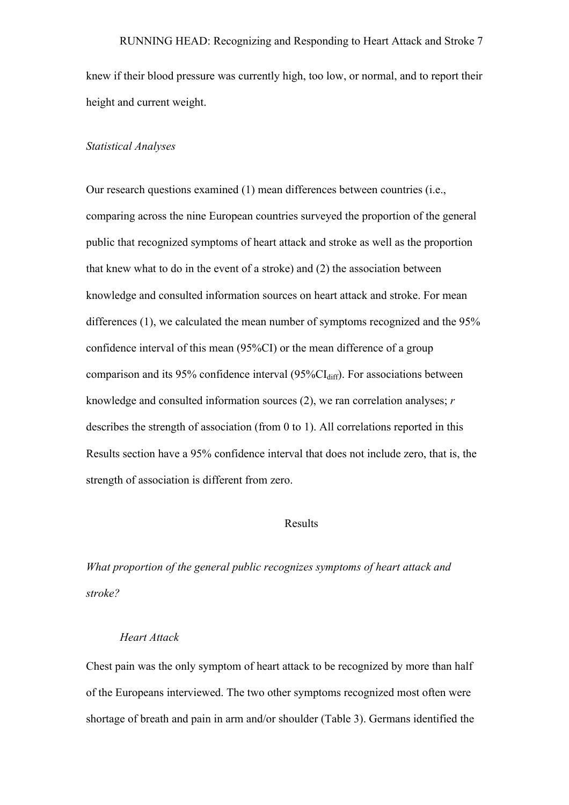knew if their blood pressure was currently high, too low, or normal, and to report their height and current weight.

## *Statistical Analyses*

Our research questions examined (1) mean differences between countries (i.e., comparing across the nine European countries surveyed the proportion of the general public that recognized symptoms of heart attack and stroke as well as the proportion that knew what to do in the event of a stroke) and (2) the association between knowledge and consulted information sources on heart attack and stroke. For mean differences (1), we calculated the mean number of symptoms recognized and the 95% confidence interval of this mean (95%CI) or the mean difference of a group comparison and its 95% confidence interval  $(95\%CI_{diff})$ . For associations between knowledge and consulted information sources (2), we ran correlation analyses; *r* describes the strength of association (from 0 to 1). All correlations reported in this Results section have a 95% confidence interval that does not include zero, that is, the strength of association is different from zero.

#### Results

*What proportion of the general public recognizes symptoms of heart attack and stroke?*

## *Heart Attack*

Chest pain was the only symptom of heart attack to be recognized by more than half of the Europeans interviewed. The two other symptoms recognized most often were shortage of breath and pain in arm and/or shoulder (Table 3). Germans identified the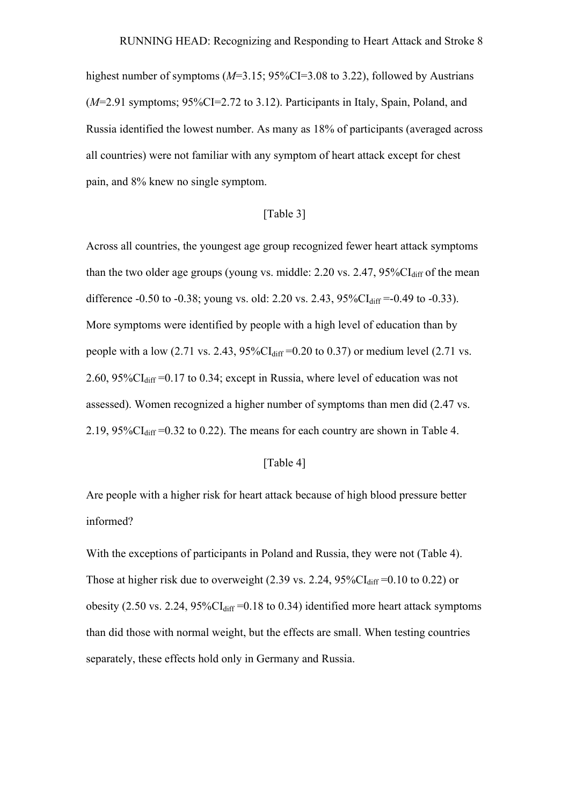highest number of symptoms ( $M=3.15$ ; 95%CI=3.08 to 3.22), followed by Austrians (*M*=2.91 symptoms; 95%CI=2.72 to 3.12). Participants in Italy, Spain, Poland, and Russia identified the lowest number. As many as 18% of participants (averaged across all countries) were not familiar with any symptom of heart attack except for chest pain, and 8% knew no single symptom.

#### [Table 3]

Across all countries, the youngest age group recognized fewer heart attack symptoms than the two older age groups (young vs. middle:  $2.20$  vs.  $2.47$ ,  $95\%CI_{diff}$  of the mean difference  $-0.50$  to  $-0.38$ ; young vs. old: 2.20 vs. 2.43, 95%CI<sub>diff</sub> =  $-0.49$  to  $-0.33$ ). More symptoms were identified by people with a high level of education than by people with a low (2.71 vs. 2.43,  $95\%$ CL<sub>diff</sub> =0.20 to 0.37) or medium level (2.71 vs. 2.60,  $95\%CI_{diff} = 0.17$  to 0.34; except in Russia, where level of education was not assessed). Women recognized a higher number of symptoms than men did (2.47 vs. 2.19,  $95\%CI_{diff} = 0.32$  to 0.22). The means for each country are shown in Table 4.

# [Table 4]

Are people with a higher risk for heart attack because of high blood pressure better informed?

With the exceptions of participants in Poland and Russia, they were not (Table 4). Those at higher risk due to overweight (2.39 vs. 2.24,  $95\%CI_{diff} = 0.10$  to 0.22) or obesity (2.50 vs. 2.24,  $95\%CI_{diff} = 0.18$  to 0.34) identified more heart attack symptoms than did those with normal weight, but the effects are small. When testing countries separately, these effects hold only in Germany and Russia.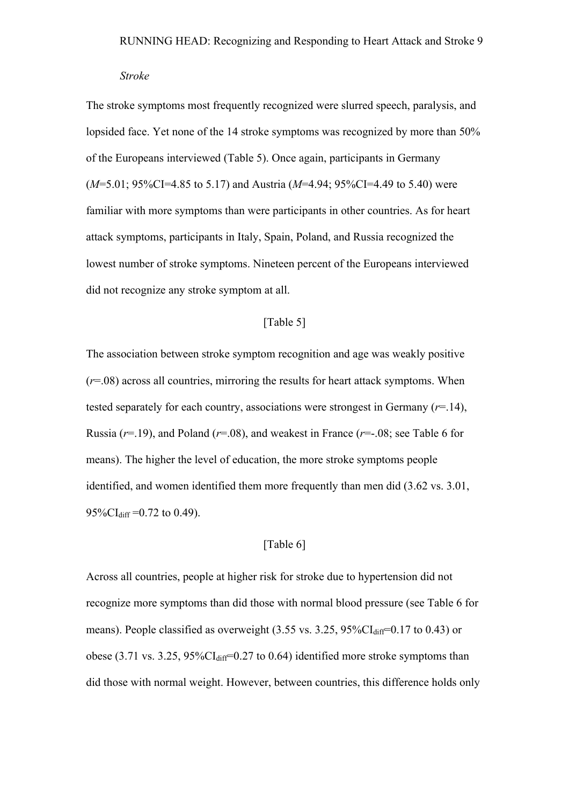#### *Stroke*

The stroke symptoms most frequently recognized were slurred speech, paralysis, and lopsided face. Yet none of the 14 stroke symptoms was recognized by more than 50% of the Europeans interviewed (Table 5). Once again, participants in Germany (*M*=5.01; 95%CI=4.85 to 5.17) and Austria (*M*=4.94; 95%CI=4.49 to 5.40) were familiar with more symptoms than were participants in other countries. As for heart attack symptoms, participants in Italy, Spain, Poland, and Russia recognized the lowest number of stroke symptoms. Nineteen percent of the Europeans interviewed did not recognize any stroke symptom at all.

# [Table 5]

The association between stroke symptom recognition and age was weakly positive (*r*=.08) across all countries, mirroring the results for heart attack symptoms. When tested separately for each country, associations were strongest in Germany (*r*=.14), Russia ( $r=19$ ), and Poland ( $r=08$ ), and weakest in France ( $r=-08$ ; see Table 6 for means). The higher the level of education, the more stroke symptoms people identified, and women identified them more frequently than men did (3.62 vs. 3.01, 95% $CI_{diff} = 0.72$  to 0.49).

# [Table 6]

Across all countries, people at higher risk for stroke due to hypertension did not recognize more symptoms than did those with normal blood pressure (see Table 6 for means). People classified as overweight  $(3.55 \text{ vs. } 3.25, 95\% \text{CI}_{diff} = 0.17 \text{ to } 0.43)$  or obese (3.71 vs. 3.25,  $95\%CI_{diff}=0.27$  to 0.64) identified more stroke symptoms than did those with normal weight. However, between countries, this difference holds only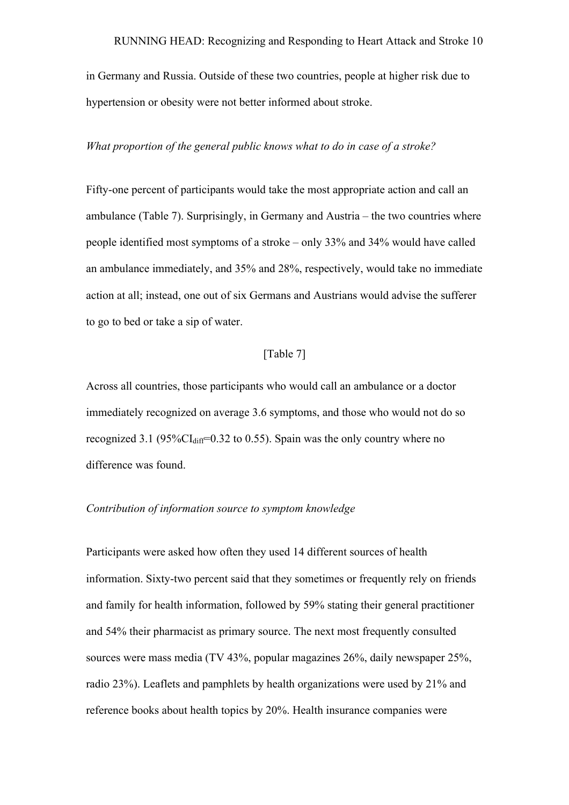in Germany and Russia. Outside of these two countries, people at higher risk due to hypertension or obesity were not better informed about stroke.

#### *What proportion of the general public knows what to do in case of a stroke?*

Fifty-one percent of participants would take the most appropriate action and call an ambulance (Table 7). Surprisingly, in Germany and Austria – the two countries where people identified most symptoms of a stroke – only 33% and 34% would have called an ambulance immediately, and 35% and 28%, respectively, would take no immediate action at all; instead, one out of six Germans and Austrians would advise the sufferer to go to bed or take a sip of water.

## [Table 7]

Across all countries, those participants who would call an ambulance or a doctor immediately recognized on average 3.6 symptoms, and those who would not do so recognized 3.1 (95% $CI_{diff}$ =0.32 to 0.55). Spain was the only country where no difference was found.

# *Contribution of information source to symptom knowledge*

Participants were asked how often they used 14 different sources of health information. Sixty-two percent said that they sometimes or frequently rely on friends and family for health information, followed by 59% stating their general practitioner and 54% their pharmacist as primary source. The next most frequently consulted sources were mass media (TV 43%, popular magazines 26%, daily newspaper 25%, radio 23%). Leaflets and pamphlets by health organizations were used by 21% and reference books about health topics by 20%. Health insurance companies were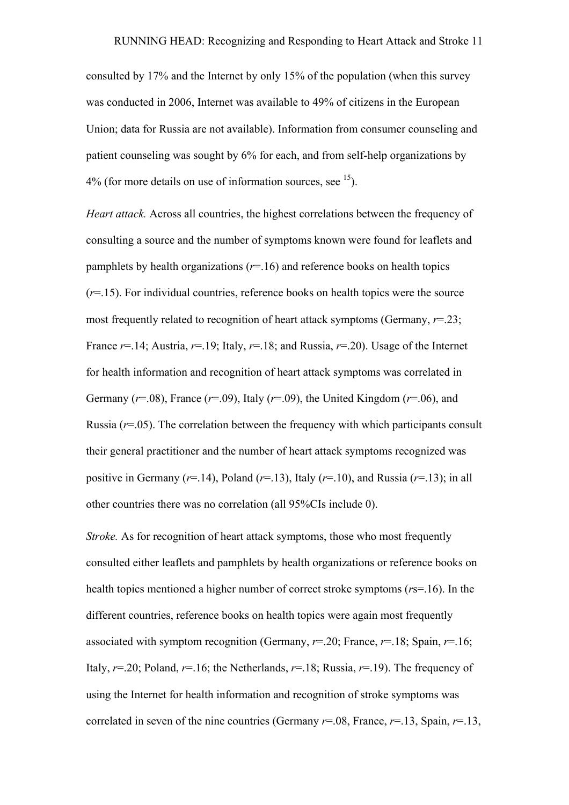consulted by 17% and the Internet by only 15% of the population (when this survey was conducted in 2006, Internet was available to 49% of citizens in the European Union; data for Russia are not available). Information from consumer counseling and patient counseling was sought by 6% for each, and from self-help organizations by  $4\%$  (for more details on use of information sources, see  $^{15}$ ).

*Heart attack.* Across all countries, the highest correlations between the frequency of consulting a source and the number of symptoms known were found for leaflets and pamphlets by health organizations  $(r=16)$  and reference books on health topics (*r*=.15). For individual countries, reference books on health topics were the source most frequently related to recognition of heart attack symptoms (Germany, *r*=.23; France  $r=14$ ; Austria,  $r=19$ ; Italy,  $r=18$ ; and Russia,  $r=20$ ). Usage of the Internet for health information and recognition of heart attack symptoms was correlated in Germany ( $r=0.08$ ), France ( $r=0.09$ ), Italy ( $r=0.09$ ), the United Kingdom ( $r=0.06$ ), and Russia  $(r=0.05)$ . The correlation between the frequency with which participants consult their general practitioner and the number of heart attack symptoms recognized was positive in Germany ( $r=14$ ), Poland ( $r=13$ ), Italy ( $r=10$ ), and Russia ( $r=13$ ); in all other countries there was no correlation (all 95%CIs include 0).

*Stroke.* As for recognition of heart attack symptoms, those who most frequently consulted either leaflets and pamphlets by health organizations or reference books on health topics mentioned a higher number of correct stroke symptoms (*r*s=.16). In the different countries, reference books on health topics were again most frequently associated with symptom recognition (Germany,  $r=20$ ; France,  $r=18$ ; Spain,  $r=16$ ; Italy,  $r=20$ ; Poland,  $r=16$ ; the Netherlands,  $r=18$ ; Russia,  $r=19$ ). The frequency of using the Internet for health information and recognition of stroke symptoms was correlated in seven of the nine countries (Germany  $r=0.08$ , France,  $r=1.13$ , Spain,  $r=1.13$ ,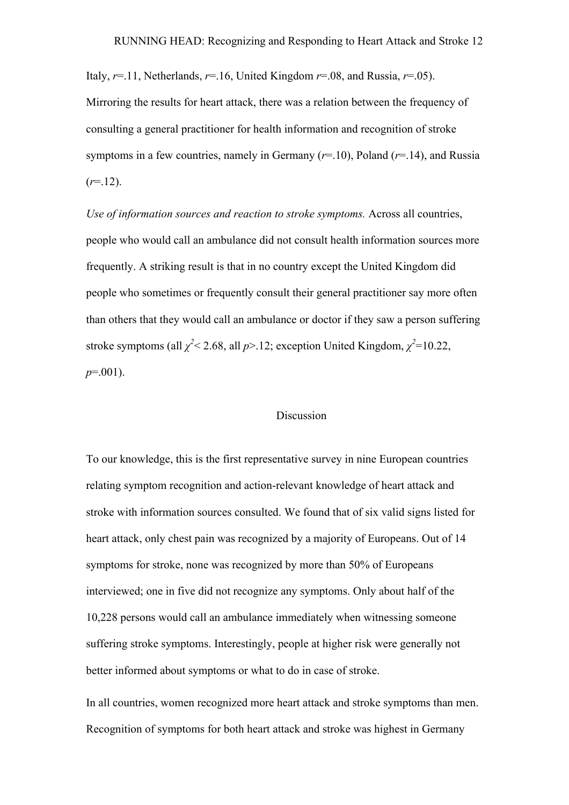Italy,  $r=11$ , Netherlands,  $r=16$ , United Kingdom  $r=0.08$ , and Russia,  $r=0.05$ ). Mirroring the results for heart attack, there was a relation between the frequency of consulting a general practitioner for health information and recognition of stroke symptoms in a few countries, namely in Germany  $(r=10)$ , Poland  $(r=14)$ , and Russia  $(r=.12)$ .

*Use of information sources and reaction to stroke symptoms.* Across all countries, people who would call an ambulance did not consult health information sources more frequently. A striking result is that in no country except the United Kingdom did people who sometimes or frequently consult their general practitioner say more often than others that they would call an ambulance or doctor if they saw a person suffering stroke symptoms (all  $\chi^2$  < 2.68, all  $p$  > 12; exception United Kingdom,  $\chi^2$  = 10.22, *p*=.001).

#### **Discussion**

To our knowledge, this is the first representative survey in nine European countries relating symptom recognition and action-relevant knowledge of heart attack and stroke with information sources consulted. We found that of six valid signs listed for heart attack, only chest pain was recognized by a majority of Europeans. Out of 14 symptoms for stroke, none was recognized by more than 50% of Europeans interviewed; one in five did not recognize any symptoms. Only about half of the 10,228 persons would call an ambulance immediately when witnessing someone suffering stroke symptoms. Interestingly, people at higher risk were generally not better informed about symptoms or what to do in case of stroke.

In all countries, women recognized more heart attack and stroke symptoms than men. Recognition of symptoms for both heart attack and stroke was highest in Germany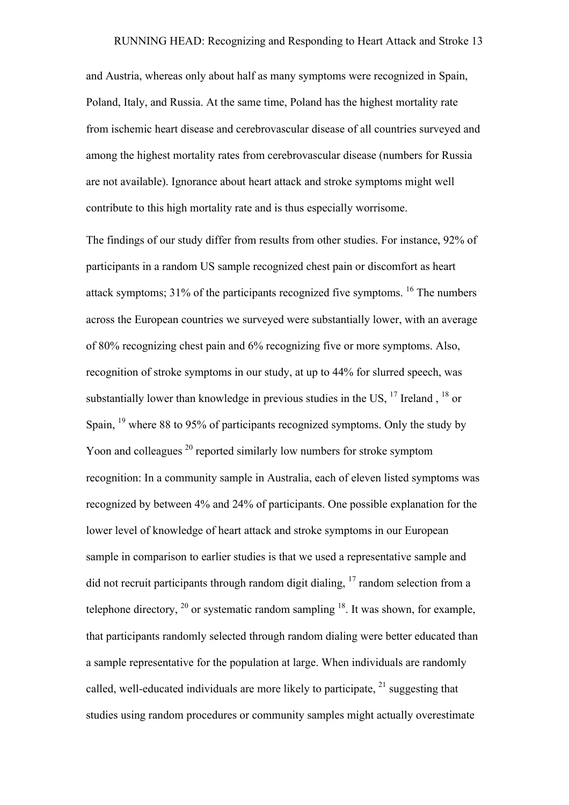and Austria, whereas only about half as many symptoms were recognized in Spain, Poland, Italy, and Russia. At the same time, Poland has the highest mortality rate from ischemic heart disease and cerebrovascular disease of all countries surveyed and among the highest mortality rates from cerebrovascular disease (numbers for Russia are not available). Ignorance about heart attack and stroke symptoms might well contribute to this high mortality rate and is thus especially worrisome.

The findings of our study differ from results from other studies. For instance, 92% of participants in a random US sample recognized chest pain or discomfort as heart attack symptoms;  $31\%$  of the participants recognized five symptoms. <sup>16</sup> The numbers across the European countries we surveyed were substantially lower, with an average of 80% recognizing chest pain and 6% recognizing five or more symptoms. Also, recognition of stroke symptoms in our study, at up to 44% for slurred speech, was substantially lower than knowledge in previous studies in the US,  $^{17}$  Ireland,  $^{18}$  or Spain, <sup>19</sup> where 88 to 95% of participants recognized symptoms. Only the study by Yoon and colleagues <sup>20</sup> reported similarly low numbers for stroke symptom recognition: In a community sample in Australia, each of eleven listed symptoms was recognized by between 4% and 24% of participants. One possible explanation for the lower level of knowledge of heart attack and stroke symptoms in our European sample in comparison to earlier studies is that we used a representative sample and did not recruit participants through random digit dialing, <sup>17</sup> random selection from a telephone directory,  $^{20}$  or systematic random sampling  $^{18}$ . It was shown, for example, that participants randomly selected through random dialing were better educated than a sample representative for the population at large. When individuals are randomly called, well-educated individuals are more likely to participate,  $21$  suggesting that studies using random procedures or community samples might actually overestimate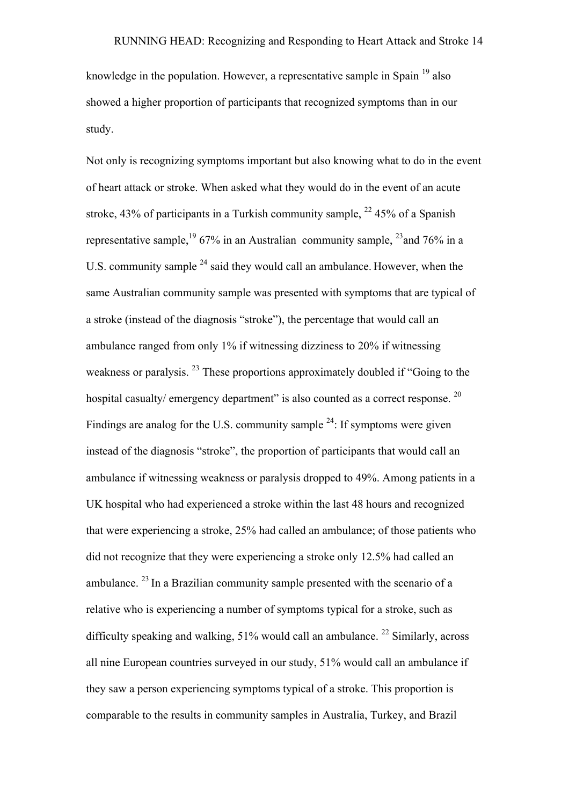knowledge in the population. However, a representative sample in Spain <sup>19</sup> also showed a higher proportion of participants that recognized symptoms than in our study.

Not only is recognizing symptoms important but also knowing what to do in the event of heart attack or stroke. When asked what they would do in the event of an acute stroke, 43% of participants in a Turkish community sample,  $^{22}$  45% of a Spanish representative sample, <sup>19</sup> 67% in an Australian community sample, <sup>23</sup> and 76% in a U.S. community sample  $^{24}$  said they would call an ambulance. However, when the same Australian community sample was presented with symptoms that are typical of a stroke (instead of the diagnosis "stroke"), the percentage that would call an ambulance ranged from only 1% if witnessing dizziness to 20% if witnessing weakness or paralysis.<sup>23</sup> These proportions approximately doubled if "Going to the hospital casualty/ emergency department" is also counted as a correct response. <sup>20</sup> Findings are analog for the U.S. community sample  $^{24}$ : If symptoms were given instead of the diagnosis "stroke", the proportion of participants that would call an ambulance if witnessing weakness or paralysis dropped to 49%. Among patients in a UK hospital who had experienced a stroke within the last 48 hours and recognized that were experiencing a stroke, 25% had called an ambulance; of those patients who did not recognize that they were experiencing a stroke only 12.5% had called an ambulance.  $^{23}$  In a Brazilian community sample presented with the scenario of a relative who is experiencing a number of symptoms typical for a stroke, such as difficulty speaking and walking,  $51\%$  would call an ambulance. <sup>22</sup> Similarly, across all nine European countries surveyed in our study, 51% would call an ambulance if they saw a person experiencing symptoms typical of a stroke. This proportion is comparable to the results in community samples in Australia, Turkey, and Brazil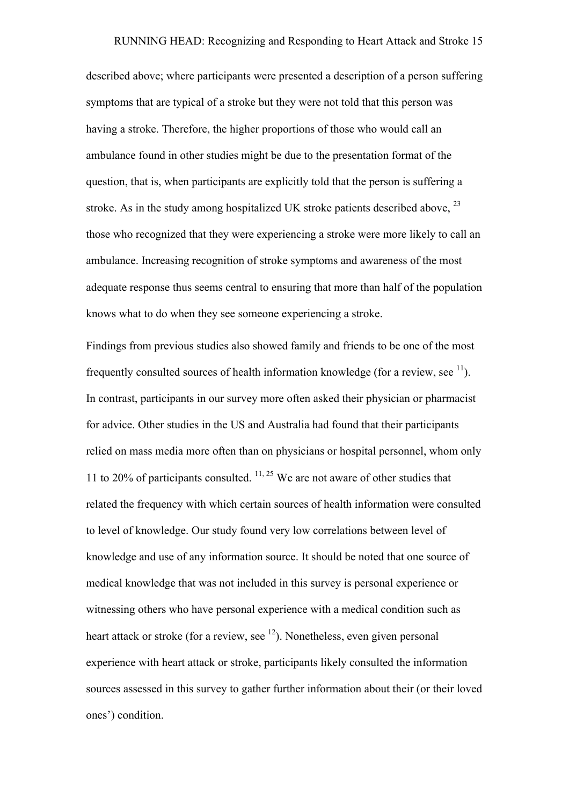described above; where participants were presented a description of a person suffering symptoms that are typical of a stroke but they were not told that this person was having a stroke. Therefore, the higher proportions of those who would call an ambulance found in other studies might be due to the presentation format of the question, that is, when participants are explicitly told that the person is suffering a stroke. As in the study among hospitalized UK stroke patients described above,  $^{23}$ those who recognized that they were experiencing a stroke were more likely to call an ambulance. Increasing recognition of stroke symptoms and awareness of the most adequate response thus seems central to ensuring that more than half of the population knows what to do when they see someone experiencing a stroke.

Findings from previous studies also showed family and friends to be one of the most frequently consulted sources of health information knowledge (for a review, see  $\frac{11}{1}$ ). In contrast, participants in our survey more often asked their physician or pharmacist for advice. Other studies in the US and Australia had found that their participants relied on mass media more often than on physicians or hospital personnel, whom only 11 to 20% of participants consulted.  $11, 25$  We are not aware of other studies that related the frequency with which certain sources of health information were consulted to level of knowledge. Our study found very low correlations between level of knowledge and use of any information source. It should be noted that one source of medical knowledge that was not included in this survey is personal experience or witnessing others who have personal experience with a medical condition such as heart attack or stroke (for a review, see  $^{12}$ ). Nonetheless, even given personal experience with heart attack or stroke, participants likely consulted the information sources assessed in this survey to gather further information about their (or their loved ones') condition.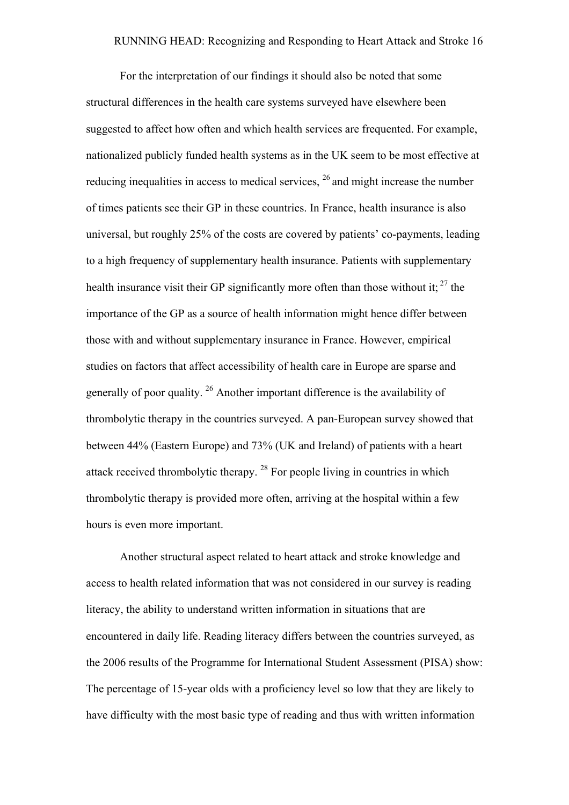For the interpretation of our findings it should also be noted that some structural differences in the health care systems surveyed have elsewhere been suggested to affect how often and which health services are frequented. For example, nationalized publicly funded health systems as in the UK seem to be most effective at reducing inequalities in access to medical services, <sup>26</sup> and might increase the number of times patients see their GP in these countries. In France, health insurance is also universal, but roughly 25% of the costs are covered by patients' co-payments, leading to a high frequency of supplementary health insurance. Patients with supplementary health insurance visit their GP significantly more often than those without it;  $27$  the importance of the GP as a source of health information might hence differ between those with and without supplementary insurance in France. However, empirical studies on factors that affect accessibility of health care in Europe are sparse and generally of poor quality. <sup>26</sup> Another important difference is the availability of thrombolytic therapy in the countries surveyed. A pan-European survey showed that between 44% (Eastern Europe) and 73% (UK and Ireland) of patients with a heart attack received thrombolytic therapy.  $28$  For people living in countries in which thrombolytic therapy is provided more often, arriving at the hospital within a few hours is even more important.

Another structural aspect related to heart attack and stroke knowledge and access to health related information that was not considered in our survey is reading literacy, the ability to understand written information in situations that are encountered in daily life. Reading literacy differs between the countries surveyed, as the 2006 results of the Programme for International Student Assessment (PISA) show: The percentage of 15-year olds with a proficiency level so low that they are likely to have difficulty with the most basic type of reading and thus with written information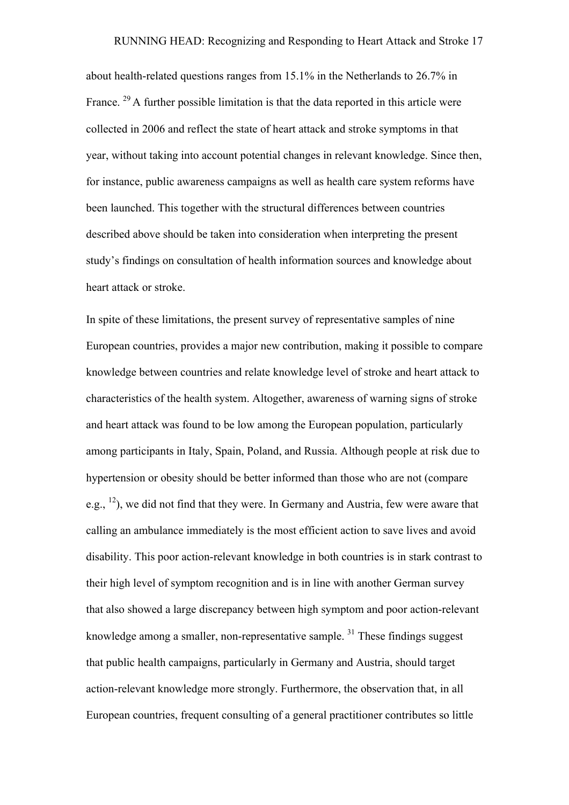## RUNNING HEAD: Recognizing and Responding to Heart Attack and Stroke 17

about health-related questions ranges from 15.1% in the Netherlands to 26.7% in France.<sup>29</sup> A further possible limitation is that the data reported in this article were collected in 2006 and reflect the state of heart attack and stroke symptoms in that year, without taking into account potential changes in relevant knowledge. Since then, for instance, public awareness campaigns as well as health care system reforms have been launched. This together with the structural differences between countries described above should be taken into consideration when interpreting the present study's findings on consultation of health information sources and knowledge about heart attack or stroke.

In spite of these limitations, the present survey of representative samples of nine European countries, provides a major new contribution, making it possible to compare knowledge between countries and relate knowledge level of stroke and heart attack to characteristics of the health system. Altogether, awareness of warning signs of stroke and heart attack was found to be low among the European population, particularly among participants in Italy, Spain, Poland, and Russia. Although people at risk due to hypertension or obesity should be better informed than those who are not (compare e.g.,  $^{12}$ ), we did not find that they were. In Germany and Austria, few were aware that calling an ambulance immediately is the most efficient action to save lives and avoid disability. This poor action-relevant knowledge in both countries is in stark contrast to their high level of symptom recognition and is in line with another German survey that also showed a large discrepancy between high symptom and poor action-relevant knowledge among a smaller, non-representative sample.  $31$  These findings suggest that public health campaigns, particularly in Germany and Austria, should target action-relevant knowledge more strongly. Furthermore, the observation that, in all European countries, frequent consulting of a general practitioner contributes so little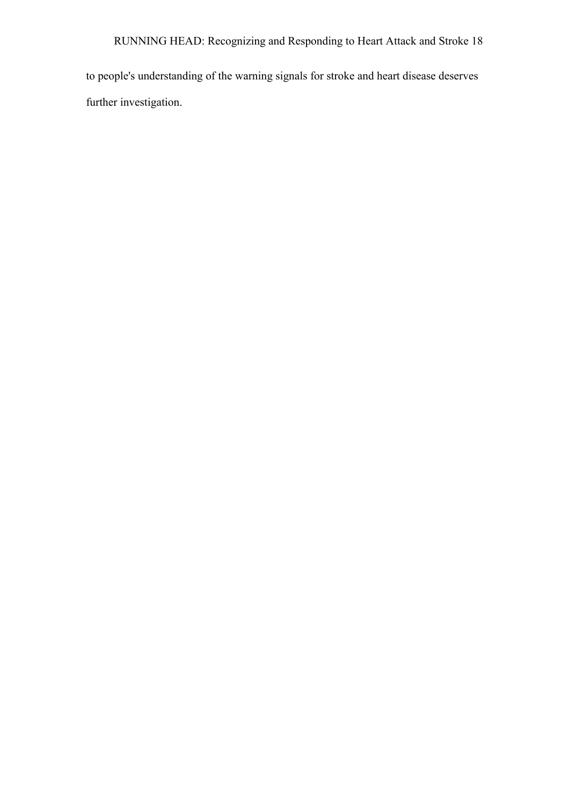to people's understanding of the warning signals for stroke and heart disease deserves further investigation.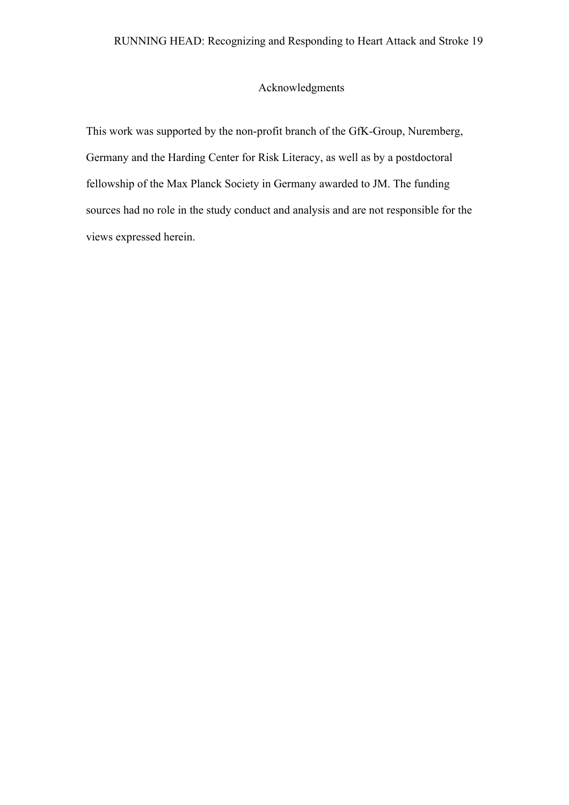# Acknowledgments

This work was supported by the non-profit branch of the GfK-Group, Nuremberg, Germany and the Harding Center for Risk Literacy, as well as by a postdoctoral fellowship of the Max Planck Society in Germany awarded to JM. The funding sources had no role in the study conduct and analysis and are not responsible for the views expressed herein.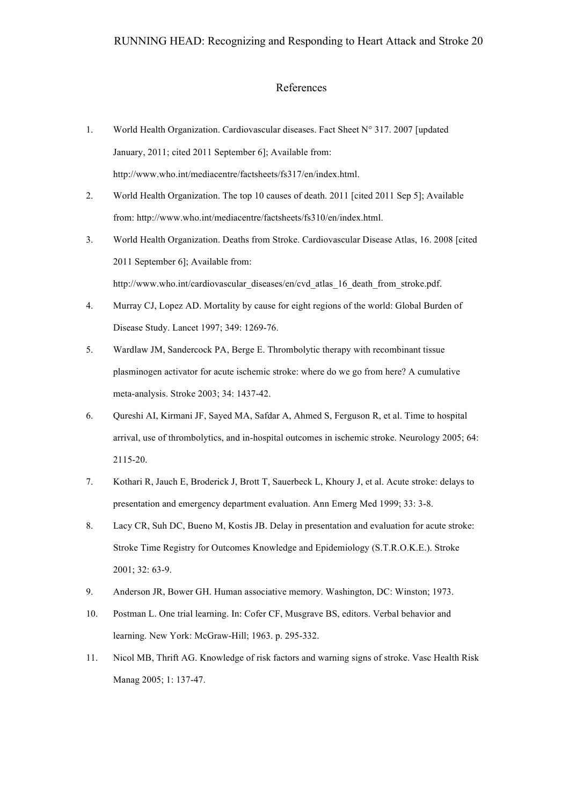#### References

- 1. World Health Organization. Cardiovascular diseases. Fact Sheet N° 317. 2007 [updated] January, 2011; cited 2011 September 6]; Available from: http://www.who.int/mediacentre/factsheets/fs317/en/index.html.
- 2. World Health Organization. The top 10 causes of death. 2011 [cited 2011 Sep 5]; Available from: http://www.who.int/mediacentre/factsheets/fs310/en/index.html.
- 3. World Health Organization. Deaths from Stroke. Cardiovascular Disease Atlas, 16. 2008 [cited 2011 September 6]; Available from: http://www.who.int/cardiovascular\_diseases/en/cvd\_atlas\_16\_death\_from\_stroke.pdf.
- 4. Murray CJ, Lopez AD. Mortality by cause for eight regions of the world: Global Burden of Disease Study. Lancet 1997; 349: 1269-76.
- 5. Wardlaw JM, Sandercock PA, Berge E. Thrombolytic therapy with recombinant tissue plasminogen activator for acute ischemic stroke: where do we go from here? A cumulative meta-analysis. Stroke 2003; 34: 1437-42.
- 6. Qureshi AI, Kirmani JF, Sayed MA, Safdar A, Ahmed S, Ferguson R, et al. Time to hospital arrival, use of thrombolytics, and in-hospital outcomes in ischemic stroke. Neurology 2005; 64: 2115-20.
- 7. Kothari R, Jauch E, Broderick J, Brott T, Sauerbeck L, Khoury J, et al. Acute stroke: delays to presentation and emergency department evaluation. Ann Emerg Med 1999; 33: 3-8.
- 8. Lacy CR, Suh DC, Bueno M, Kostis JB. Delay in presentation and evaluation for acute stroke: Stroke Time Registry for Outcomes Knowledge and Epidemiology (S.T.R.O.K.E.). Stroke 2001; 32: 63-9.
- 9. Anderson JR, Bower GH. Human associative memory. Washington, DC: Winston; 1973.
- 10. Postman L. One trial learning. In: Cofer CF, Musgrave BS, editors. Verbal behavior and learning. New York: McGraw-Hill; 1963. p. 295-332.
- 11. Nicol MB, Thrift AG. Knowledge of risk factors and warning signs of stroke. Vasc Health Risk Manag 2005; 1: 137-47.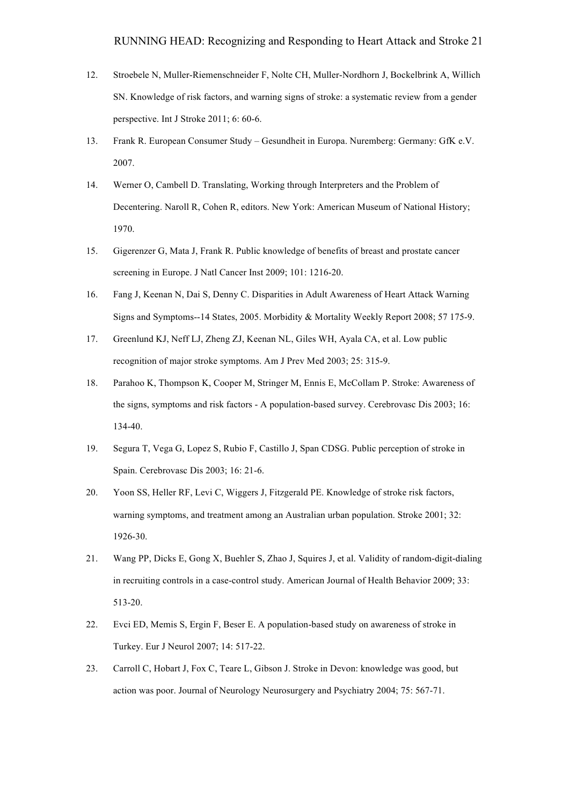- 12. Stroebele N, Muller-Riemenschneider F, Nolte CH, Muller-Nordhorn J, Bockelbrink A, Willich SN. Knowledge of risk factors, and warning signs of stroke: a systematic review from a gender perspective. Int J Stroke 2011; 6: 60-6.
- 13. Frank R. European Consumer Study Gesundheit in Europa. Nuremberg: Germany: GfK e.V. 2007.
- 14. Werner O, Cambell D. Translating, Working through Interpreters and the Problem of Decentering. Naroll R, Cohen R, editors. New York: American Museum of National History; 1970.
- 15. Gigerenzer G, Mata J, Frank R. Public knowledge of benefits of breast and prostate cancer screening in Europe. J Natl Cancer Inst 2009; 101: 1216-20.
- 16. Fang J, Keenan N, Dai S, Denny C. Disparities in Adult Awareness of Heart Attack Warning Signs and Symptoms--14 States, 2005. Morbidity & Mortality Weekly Report 2008; 57 175-9.
- 17. Greenlund KJ, Neff LJ, Zheng ZJ, Keenan NL, Giles WH, Ayala CA, et al. Low public recognition of major stroke symptoms. Am J Prev Med 2003; 25: 315-9.
- 18. Parahoo K, Thompson K, Cooper M, Stringer M, Ennis E, McCollam P. Stroke: Awareness of the signs, symptoms and risk factors - A population-based survey. Cerebrovasc Dis 2003; 16: 134-40.
- 19. Segura T, Vega G, Lopez S, Rubio F, Castillo J, Span CDSG. Public perception of stroke in Spain. Cerebrovasc Dis 2003; 16: 21-6.
- 20. Yoon SS, Heller RF, Levi C, Wiggers J, Fitzgerald PE. Knowledge of stroke risk factors, warning symptoms, and treatment among an Australian urban population. Stroke 2001; 32: 1926-30.
- 21. Wang PP, Dicks E, Gong X, Buehler S, Zhao J, Squires J, et al. Validity of random-digit-dialing in recruiting controls in a case-control study. American Journal of Health Behavior 2009; 33: 513-20.
- 22. Evci ED, Memis S, Ergin F, Beser E. A population-based study on awareness of stroke in Turkey. Eur J Neurol 2007; 14: 517-22.
- 23. Carroll C, Hobart J, Fox C, Teare L, Gibson J. Stroke in Devon: knowledge was good, but action was poor. Journal of Neurology Neurosurgery and Psychiatry 2004; 75: 567-71.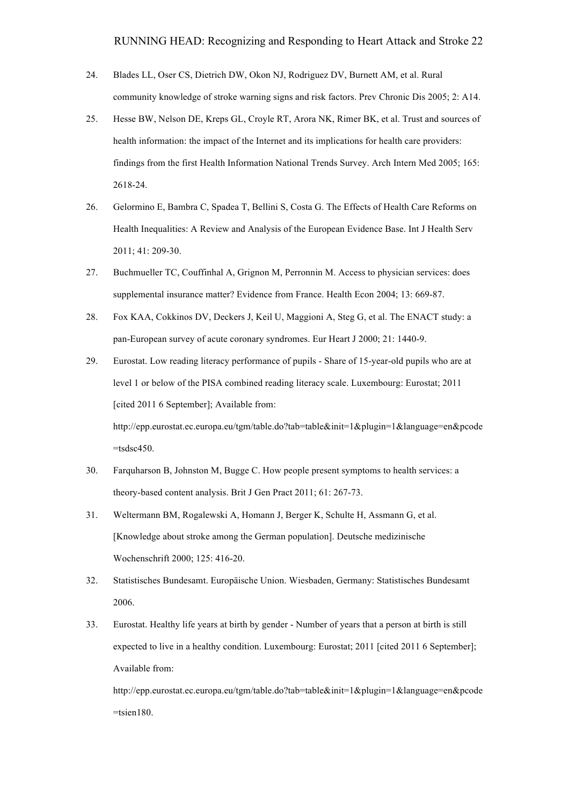- 24. Blades LL, Oser CS, Dietrich DW, Okon NJ, Rodriguez DV, Burnett AM, et al. Rural community knowledge of stroke warning signs and risk factors. Prev Chronic Dis 2005; 2: A14.
- 25. Hesse BW, Nelson DE, Kreps GL, Croyle RT, Arora NK, Rimer BK, et al. Trust and sources of health information: the impact of the Internet and its implications for health care providers: findings from the first Health Information National Trends Survey. Arch Intern Med 2005; 165: 2618-24.
- 26. Gelormino E, Bambra C, Spadea T, Bellini S, Costa G. The Effects of Health Care Reforms on Health Inequalities: A Review and Analysis of the European Evidence Base. Int J Health Serv 2011; 41: 209-30.
- 27. Buchmueller TC, Couffinhal A, Grignon M, Perronnin M. Access to physician services: does supplemental insurance matter? Evidence from France. Health Econ 2004; 13: 669-87.
- 28. Fox KAA, Cokkinos DV, Deckers J, Keil U, Maggioni A, Steg G, et al. The ENACT study: a pan-European survey of acute coronary syndromes. Eur Heart J 2000; 21: 1440-9.
- 29. Eurostat. Low reading literacy performance of pupils Share of 15-year-old pupils who are at level 1 or below of the PISA combined reading literacy scale. Luxembourg: Eurostat; 2011 [cited 2011 6 September]; Available from:

http://epp.eurostat.ec.europa.eu/tgm/table.do?tab=table&init=1&plugin=1&language=en&pcode  $=$ tsdsc450.

- 30. Farquharson B, Johnston M, Bugge C. How people present symptoms to health services: a theory-based content analysis. Brit J Gen Pract 2011; 61: 267-73.
- 31. Weltermann BM, Rogalewski A, Homann J, Berger K, Schulte H, Assmann G, et al. [Knowledge about stroke among the German population]. Deutsche medizinische Wochenschrift 2000; 125: 416-20.
- 32. Statistisches Bundesamt. Europäische Union. Wiesbaden, Germany: Statistisches Bundesamt 2006.
- 33. Eurostat. Healthy life years at birth by gender Number of years that a person at birth is still expected to live in a healthy condition. Luxembourg: Eurostat; 2011 [cited 2011 6 September]; Available from:

http://epp.eurostat.ec.europa.eu/tgm/table.do?tab=table&init=1&plugin=1&language=en&pcode  $=$ tsien180.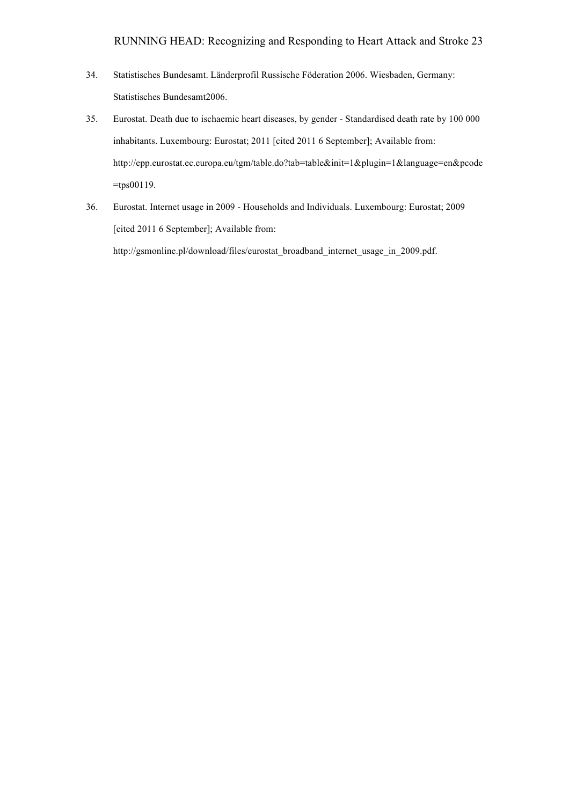- 34. Statistisches Bundesamt. Länderprofil Russische Föderation 2006. Wiesbaden, Germany: Statistisches Bundesamt2006.
- 35. Eurostat. Death due to ischaemic heart diseases, by gender Standardised death rate by 100 000 inhabitants. Luxembourg: Eurostat; 2011 [cited 2011 6 September]; Available from: http://epp.eurostat.ec.europa.eu/tgm/table.do?tab=table&init=1&plugin=1&language=en&pcode  $=$ tps00119.
- 36. Eurostat. Internet usage in 2009 Households and Individuals. Luxembourg: Eurostat; 2009 [cited 2011 6 September]; Available from: http://gsmonline.pl/download/files/eurostat\_broadband\_internet\_usage\_in\_2009.pdf.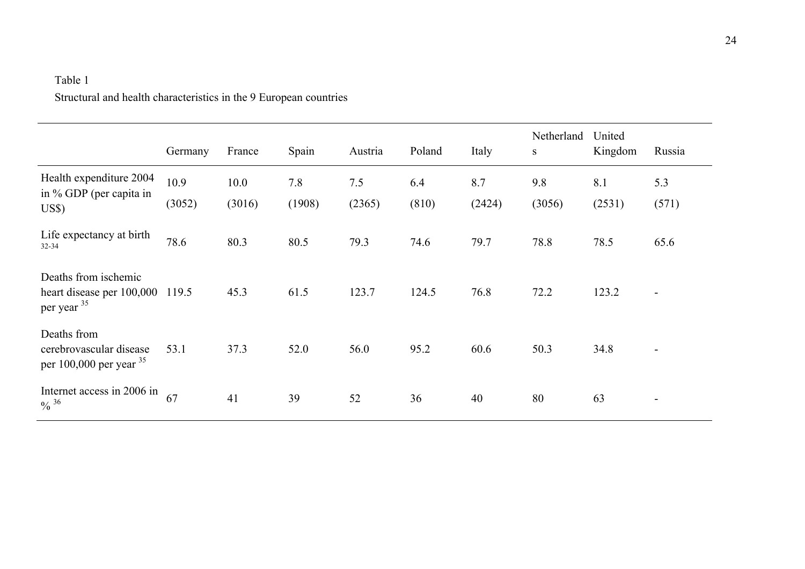# Table 1 Structural and health characteristics in the 9 European countries

|                                                                           | Germany        | France         | Spain         | Austria       | Poland       | Italy         | Netherland<br>${\bf S}$ | United<br>Kingdom | Russia                   |
|---------------------------------------------------------------------------|----------------|----------------|---------------|---------------|--------------|---------------|-------------------------|-------------------|--------------------------|
| Health expenditure 2004<br>in % GDP (per capita in<br>$\overline{U}$ S\$) | 10.9<br>(3052) | 10.0<br>(3016) | 7.8<br>(1908) | 7.5<br>(2365) | 6.4<br>(810) | 8.7<br>(2424) | 9.8<br>(3056)           | 8.1<br>(2531)     | 5.3<br>(571)             |
| Life expectancy at birth<br>$32 - 34$                                     | 78.6           | 80.3           | 80.5          | 79.3          | 74.6         | 79.7          | 78.8                    | 78.5              | 65.6                     |
| Deaths from ischemic<br>heart disease per $100,000$ 119.5<br>per year 35  |                | 45.3           | 61.5          | 123.7         | 124.5        | 76.8          | 72.2                    | 123.2             | $\overline{\phantom{a}}$ |
| Deaths from<br>cerebrovascular disease<br>per 100,000 per year $35$       | 53.1           | 37.3           | 52.0          | 56.0          | 95.2         | 60.6          | 50.3                    | 34.8              | $\overline{\phantom{a}}$ |
| Internet access in 2006 in<br>$\frac{0}{6}$ 36                            | 67             | 41             | 39            | 52            | 36           | 40            | 80                      | 63                |                          |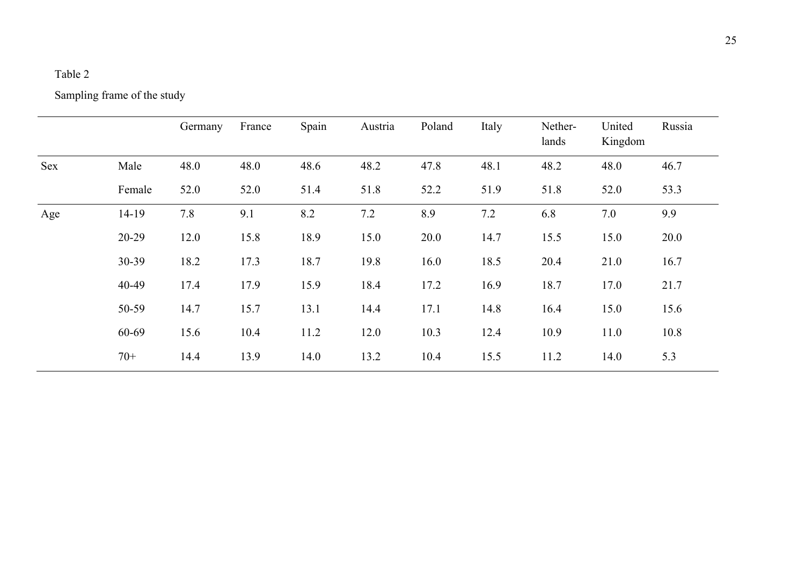# Sampling frame of the study

|            |         | Germany | France | Spain | Austria | Poland | Italy | Nether-<br>lands | United<br>Kingdom | Russia |
|------------|---------|---------|--------|-------|---------|--------|-------|------------------|-------------------|--------|
| <b>Sex</b> | Male    | 48.0    | 48.0   | 48.6  | 48.2    | 47.8   | 48.1  | 48.2             | 48.0              | 46.7   |
|            | Female  | 52.0    | 52.0   | 51.4  | 51.8    | 52.2   | 51.9  | 51.8             | 52.0              | 53.3   |
| Age        | $14-19$ | 7.8     | 9.1    | 8.2   | 7.2     | 8.9    | 7.2   | 6.8              | 7.0               | 9.9    |
|            | $20-29$ | 12.0    | 15.8   | 18.9  | 15.0    | 20.0   | 14.7  | 15.5             | 15.0              | 20.0   |
|            | 30-39   | 18.2    | 17.3   | 18.7  | 19.8    | 16.0   | 18.5  | 20.4             | 21.0              | 16.7   |
|            | 40-49   | 17.4    | 17.9   | 15.9  | 18.4    | 17.2   | 16.9  | 18.7             | 17.0              | 21.7   |
|            | 50-59   | 14.7    | 15.7   | 13.1  | 14.4    | 17.1   | 14.8  | 16.4             | 15.0              | 15.6   |
|            | 60-69   | 15.6    | 10.4   | 11.2  | 12.0    | 10.3   | 12.4  | 10.9             | 11.0              | 10.8   |
|            | $70+$   | 14.4    | 13.9   | 14.0  | 13.2    | 10.4   | 15.5  | 11.2             | 14.0              | 5.3    |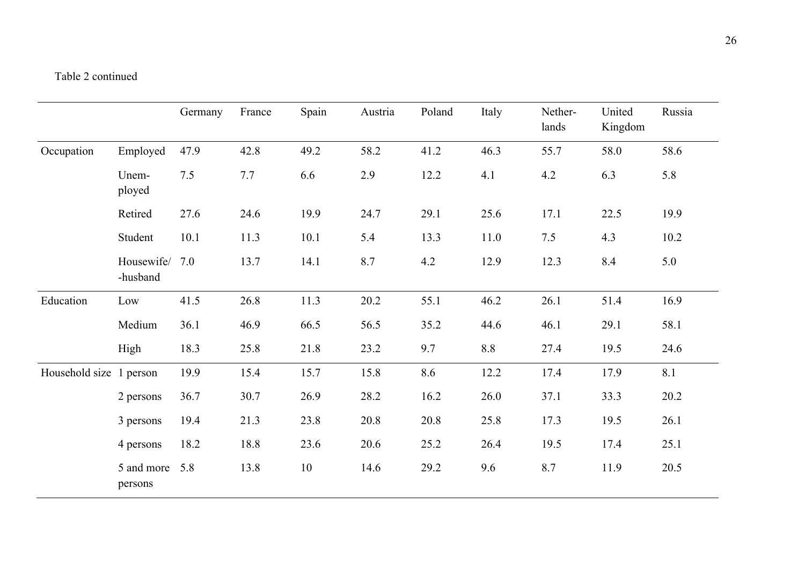|                         |                        | Germany | France | Spain | Austria | Poland | Italy | Nether-<br>lands | United<br>Kingdom | Russia |
|-------------------------|------------------------|---------|--------|-------|---------|--------|-------|------------------|-------------------|--------|
| Occupation              | Employed               | 47.9    | 42.8   | 49.2  | 58.2    | 41.2   | 46.3  | 55.7             | 58.0              | 58.6   |
|                         | Unem-<br>ployed        | 7.5     | 7.7    | 6.6   | 2.9     | 12.2   | 4.1   | 4.2              | 6.3               | 5.8    |
|                         | Retired                | 27.6    | 24.6   | 19.9  | 24.7    | 29.1   | 25.6  | 17.1             | 22.5              | 19.9   |
|                         | Student                | 10.1    | 11.3   | 10.1  | 5.4     | 13.3   | 11.0  | 7.5              | 4.3               | 10.2   |
|                         | Housewife/<br>-husband | 7.0     | 13.7   | 14.1  | 8.7     | 4.2    | 12.9  | 12.3             | 8.4               | 5.0    |
| Education               | Low                    | 41.5    | 26.8   | 11.3  | 20.2    | 55.1   | 46.2  | 26.1             | 51.4              | 16.9   |
|                         | Medium                 | 36.1    | 46.9   | 66.5  | 56.5    | 35.2   | 44.6  | 46.1             | 29.1              | 58.1   |
|                         | High                   | 18.3    | 25.8   | 21.8  | 23.2    | 9.7    | 8.8   | 27.4             | 19.5              | 24.6   |
| Household size 1 person |                        | 19.9    | 15.4   | 15.7  | 15.8    | 8.6    | 12.2  | 17.4             | 17.9              | 8.1    |
|                         | 2 persons              | 36.7    | 30.7   | 26.9  | 28.2    | 16.2   | 26.0  | 37.1             | 33.3              | 20.2   |
|                         | 3 persons              | 19.4    | 21.3   | 23.8  | 20.8    | 20.8   | 25.8  | 17.3             | 19.5              | 26.1   |
|                         | 4 persons              | 18.2    | 18.8   | 23.6  | 20.6    | 25.2   | 26.4  | 19.5             | 17.4              | 25.1   |
|                         | 5 and more<br>persons  | 5.8     | 13.8   | 10    | 14.6    | 29.2   | 9.6   | 8.7              | 11.9              | 20.5   |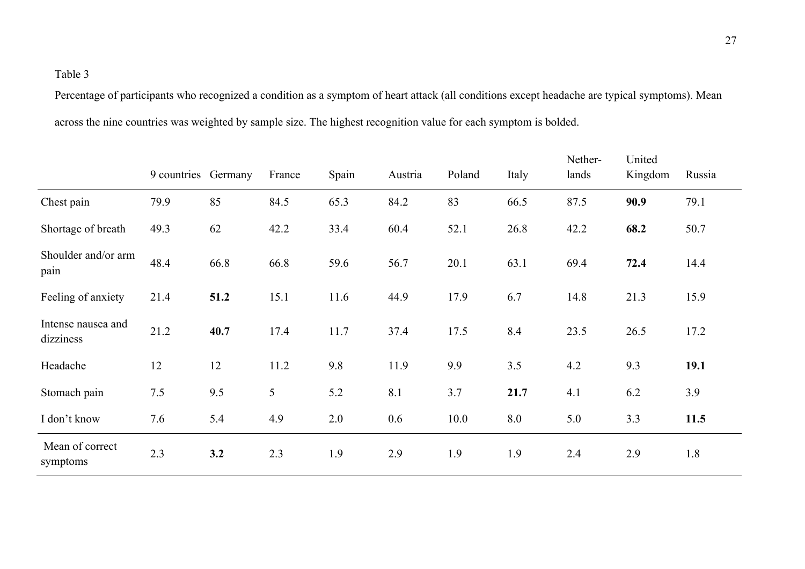Percentage of participants who recognized a condition as a symptom of heart attack (all conditions except headache are typical symptoms). Mean across the nine countries was weighted by sample size. The highest recognition value for each symptom is bolded.

|                                 | 9 countries Germany |      | France | Spain | Austria | Poland | Italy | Nether-<br>lands | United<br>Kingdom | Russia |
|---------------------------------|---------------------|------|--------|-------|---------|--------|-------|------------------|-------------------|--------|
| Chest pain                      | 79.9                | 85   | 84.5   | 65.3  | 84.2    | 83     | 66.5  | 87.5             | 90.9              | 79.1   |
| Shortage of breath              | 49.3                | 62   | 42.2   | 33.4  | 60.4    | 52.1   | 26.8  | 42.2             | 68.2              | 50.7   |
| Shoulder and/or arm<br>pain     | 48.4                | 66.8 | 66.8   | 59.6  | 56.7    | 20.1   | 63.1  | 69.4             | 72.4              | 14.4   |
| Feeling of anxiety              | 21.4                | 51.2 | 15.1   | 11.6  | 44.9    | 17.9   | 6.7   | 14.8             | 21.3              | 15.9   |
| Intense nausea and<br>dizziness | 21.2                | 40.7 | 17.4   | 11.7  | 37.4    | 17.5   | 8.4   | 23.5             | 26.5              | 17.2   |
| Headache                        | 12                  | 12   | 11.2   | 9.8   | 11.9    | 9.9    | 3.5   | 4.2              | 9.3               | 19.1   |
| Stomach pain                    | 7.5                 | 9.5  | 5      | 5.2   | 8.1     | 3.7    | 21.7  | 4.1              | 6.2               | 3.9    |
| I don't know                    | 7.6                 | 5.4  | 4.9    | 2.0   | 0.6     | 10.0   | 8.0   | 5.0              | 3.3               | 11.5   |
| Mean of correct<br>symptoms     | 2.3                 | 3.2  | 2.3    | 1.9   | 2.9     | 1.9    | 1.9   | 2.4              | 2.9               | 1.8    |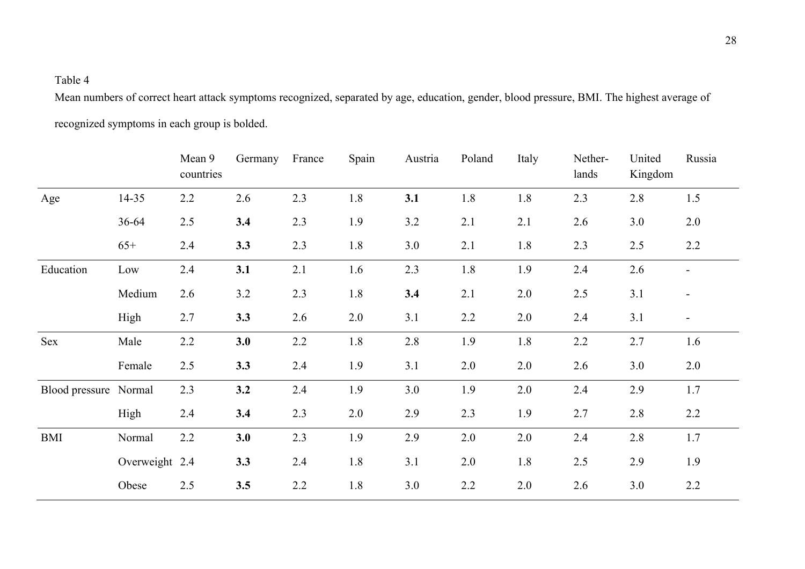Mean numbers of correct heart attack symptoms recognized, separated by age, education, gender, blood pressure, BMI. The highest average of recognized symptoms in each group is bolded.

|                       |                | Mean 9<br>countries | Germany | France  | Spain | Austria | Poland | Italy | Nether-<br>lands | United<br>Kingdom | Russia                   |
|-----------------------|----------------|---------------------|---------|---------|-------|---------|--------|-------|------------------|-------------------|--------------------------|
| Age                   | $14 - 35$      | 2.2                 | 2.6     | 2.3     | 1.8   | 3.1     | 1.8    | 1.8   | 2.3              | 2.8               | 1.5                      |
|                       | $36 - 64$      | 2.5                 | 3.4     | 2.3     | 1.9   | 3.2     | 2.1    | 2.1   | 2.6              | 3.0               | 2.0                      |
|                       | $65+$          | 2.4                 | 3.3     | 2.3     | 1.8   | 3.0     | 2.1    | 1.8   | 2.3              | 2.5               | 2.2                      |
| Education             | Low            | 2.4                 | 3.1     | 2.1     | 1.6   | 2.3     | 1.8    | 1.9   | 2.4              | 2.6               |                          |
|                       | Medium         | 2.6                 | 3.2     | 2.3     | 1.8   | 3.4     | 2.1    | 2.0   | 2.5              | 3.1               | $\overline{\phantom{a}}$ |
|                       | High           | 2.7                 | 3.3     | 2.6     | 2.0   | 3.1     | 2.2    | 2.0   | 2.4              | 3.1               |                          |
| Sex                   | Male           | 2.2                 | 3.0     | $2.2\,$ | 1.8   | 2.8     | 1.9    | 1.8   | $2.2\,$          | 2.7               | 1.6                      |
|                       | Female         | 2.5                 | 3.3     | 2.4     | 1.9   | 3.1     | 2.0    | 2.0   | 2.6              | 3.0               | 2.0                      |
| Blood pressure Normal |                | 2.3                 | 3.2     | 2.4     | 1.9   | 3.0     | 1.9    | 2.0   | 2.4              | 2.9               | 1.7                      |
|                       | High           | 2.4                 | 3.4     | 2.3     | 2.0   | 2.9     | 2.3    | 1.9   | 2.7              | 2.8               | 2.2                      |
| <b>BMI</b>            | Normal         | 2.2                 | 3.0     | 2.3     | 1.9   | 2.9     | 2.0    | 2.0   | 2.4              | 2.8               | 1.7                      |
|                       | Overweight 2.4 |                     | 3.3     | 2.4     | 1.8   | 3.1     | 2.0    | 1.8   | 2.5              | 2.9               | 1.9                      |
|                       | Obese          | 2.5                 | 3.5     | 2.2     | 1.8   | 3.0     | 2.2    | 2.0   | 2.6              | 3.0               | 2.2                      |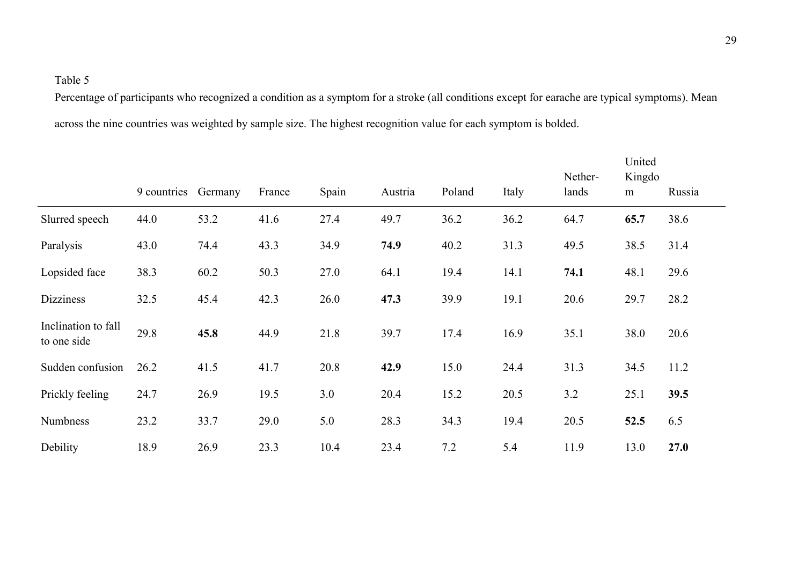Percentage of participants who recognized a condition as a symptom for a stroke (all conditions except for earache are typical symptoms). Mean across the nine countries was weighted by sample size. The highest recognition value for each symptom is bolded.

|                                    | 9 countries | Germany | France | Spain | Austria | Poland | Italy | Nether-<br>lands | United<br>Kingdo<br>${\bf m}$ | Russia |
|------------------------------------|-------------|---------|--------|-------|---------|--------|-------|------------------|-------------------------------|--------|
| Slurred speech                     | 44.0        | 53.2    | 41.6   | 27.4  | 49.7    | 36.2   | 36.2  | 64.7             | 65.7                          | 38.6   |
| Paralysis                          | 43.0        | 74.4    | 43.3   | 34.9  | 74.9    | 40.2   | 31.3  | 49.5             | 38.5                          | 31.4   |
| Lopsided face                      | 38.3        | 60.2    | 50.3   | 27.0  | 64.1    | 19.4   | 14.1  | 74.1             | 48.1                          | 29.6   |
| <b>Dizziness</b>                   | 32.5        | 45.4    | 42.3   | 26.0  | 47.3    | 39.9   | 19.1  | 20.6             | 29.7                          | 28.2   |
| Inclination to fall<br>to one side | 29.8        | 45.8    | 44.9   | 21.8  | 39.7    | 17.4   | 16.9  | 35.1             | 38.0                          | 20.6   |
| Sudden confusion                   | 26.2        | 41.5    | 41.7   | 20.8  | 42.9    | 15.0   | 24.4  | 31.3             | 34.5                          | 11.2   |
| Prickly feeling                    | 24.7        | 26.9    | 19.5   | 3.0   | 20.4    | 15.2   | 20.5  | 3.2              | 25.1                          | 39.5   |
| Numbness                           | 23.2        | 33.7    | 29.0   | 5.0   | 28.3    | 34.3   | 19.4  | 20.5             | 52.5                          | 6.5    |
| Debility                           | 18.9        | 26.9    | 23.3   | 10.4  | 23.4    | 7.2    | 5.4   | 11.9             | 13.0                          | 27.0   |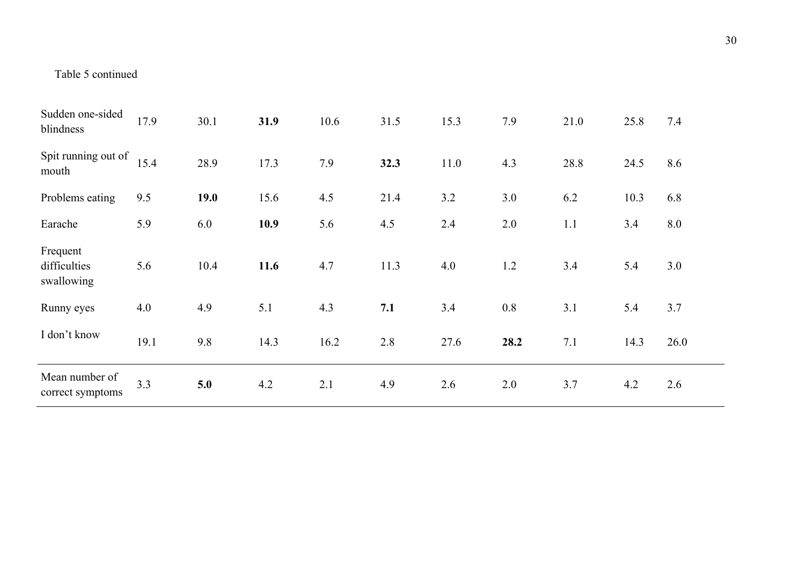# Table 5 continued

| Mean number of<br>correct symptoms     | 3.3  | 5.0         | 4.2  | 2.1  | 4.9  | 2.6  | 2.0  | 3.7  | 4.2  | 2.6  |
|----------------------------------------|------|-------------|------|------|------|------|------|------|------|------|
| I don't know                           | 19.1 | 9.8         | 14.3 | 16.2 | 2.8  | 27.6 | 28.2 | 7.1  | 14.3 | 26.0 |
| Runny eyes                             | 4.0  | 4.9         | 5.1  | 4.3  | 7.1  | 3.4  | 0.8  | 3.1  | 5.4  | 3.7  |
| Frequent<br>difficulties<br>swallowing | 5.6  | 10.4        | 11.6 | 4.7  | 11.3 | 4.0  | 1.2  | 3.4  | 5.4  | 3.0  |
| Earache                                | 5.9  | 6.0         | 10.9 | 5.6  | 4.5  | 2.4  | 2.0  | 1.1  | 3.4  | 8.0  |
| Problems eating                        | 9.5  | <b>19.0</b> | 15.6 | 4.5  | 21.4 | 3.2  | 3.0  | 6.2  | 10.3 | 6.8  |
| Spit running out of<br>mouth           | 15.4 | 28.9        | 17.3 | 7.9  | 32.3 | 11.0 | 4.3  | 28.8 | 24.5 | 8.6  |
| Sudden one-sided<br>blindness          | 17.9 | 30.1        | 31.9 | 10.6 | 31.5 | 15.3 | 7.9  | 21.0 | 25.8 | 7.4  |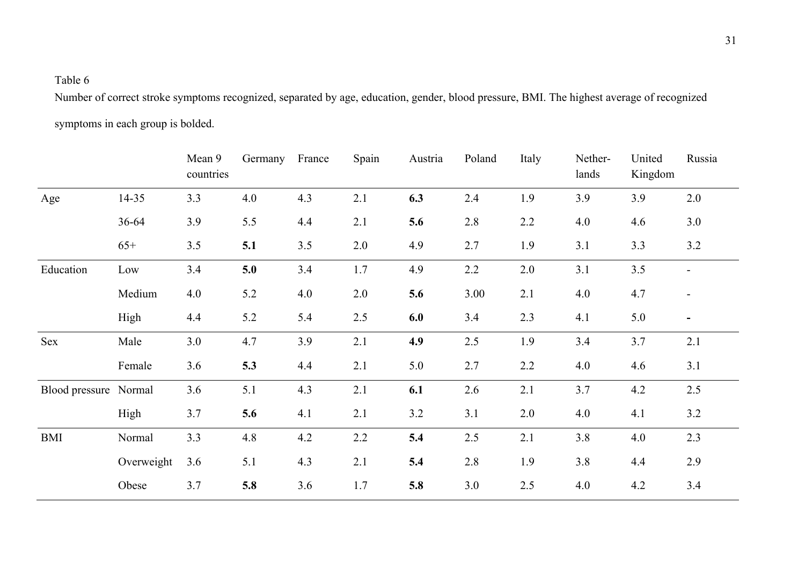Number of correct stroke symptoms recognized, separated by age, education, gender, blood pressure, BMI. The highest average of recognized symptoms in each group is bolded.

|                       |            | Mean 9<br>countries | Germany | France | Spain | Austria | Poland | Italy | Nether-<br>lands | United<br>Kingdom | Russia                   |
|-----------------------|------------|---------------------|---------|--------|-------|---------|--------|-------|------------------|-------------------|--------------------------|
| Age                   | $14 - 35$  | 3.3                 | 4.0     | 4.3    | 2.1   | 6.3     | 2.4    | 1.9   | 3.9              | 3.9               | 2.0                      |
|                       | 36-64      | 3.9                 | 5.5     | 4.4    | 2.1   | 5.6     | 2.8    | 2.2   | 4.0              | 4.6               | 3.0                      |
|                       | $65+$      | 3.5                 | 5.1     | 3.5    | 2.0   | 4.9     | 2.7    | 1.9   | 3.1              | 3.3               | 3.2                      |
| Education             | Low        | 3.4                 | 5.0     | 3.4    | 1.7   | 4.9     | 2.2    | 2.0   | 3.1              | 3.5               |                          |
|                       | Medium     | 4.0                 | 5.2     | 4.0    | 2.0   | 5.6     | 3.00   | 2.1   | 4.0              | 4.7               | $\blacksquare$           |
|                       | High       | 4.4                 | 5.2     | 5.4    | 2.5   | 6.0     | 3.4    | 2.3   | 4.1              | 5.0               | $\overline{\phantom{a}}$ |
| Sex                   | Male       | $3.0\,$             | 4.7     | 3.9    | 2.1   | 4.9     | 2.5    | 1.9   | 3.4              | 3.7               | 2.1                      |
|                       | Female     | 3.6                 | 5.3     | 4.4    | 2.1   | 5.0     | 2.7    | 2.2   | 4.0              | 4.6               | 3.1                      |
| Blood pressure Normal |            | 3.6                 | 5.1     | 4.3    | 2.1   | 6.1     | 2.6    | 2.1   | 3.7              | 4.2               | 2.5                      |
|                       | High       | 3.7                 | 5.6     | 4.1    | 2.1   | 3.2     | 3.1    | 2.0   | 4.0              | 4.1               | 3.2                      |
| <b>BMI</b>            | Normal     | 3.3                 | 4.8     | 4.2    | 2.2   | 5.4     | 2.5    | 2.1   | 3.8              | 4.0               | 2.3                      |
|                       | Overweight | 3.6                 | 5.1     | 4.3    | 2.1   | 5.4     | 2.8    | 1.9   | 3.8              | 4.4               | 2.9                      |
|                       | Obese      | 3.7                 | 5.8     | 3.6    | 1.7   | 5.8     | 3.0    | 2.5   | 4.0              | 4.2               | 3.4                      |